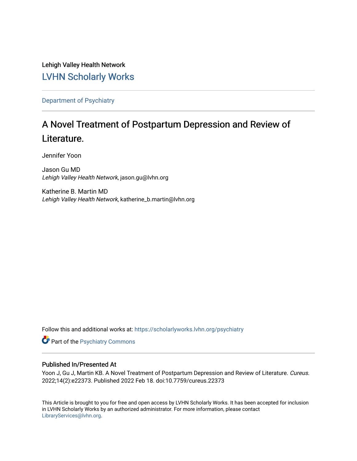Lehigh Valley Health Network [LVHN Scholarly Works](https://scholarlyworks.lvhn.org/)

[Department of Psychiatry](https://scholarlyworks.lvhn.org/psychiatry)

# A Novel Treatment of Postpartum Depression and Review of Literature.

Jennifer Yoon

Jason Gu MD Lehigh Valley Health Network, jason.gu@lvhn.org

Katherine B. Martin MD Lehigh Valley Health Network, katherine\_b.martin@lvhn.org

Follow this and additional works at: [https://scholarlyworks.lvhn.org/psychiatry](https://scholarlyworks.lvhn.org/psychiatry?utm_source=scholarlyworks.lvhn.org%2Fpsychiatry%2F62&utm_medium=PDF&utm_campaign=PDFCoverPages) 

**Part of the Psychiatry Commons** 

## Published In/Presented At

Yoon J, Gu J, Martin KB. A Novel Treatment of Postpartum Depression and Review of Literature. Cureus. 2022;14(2):e22373. Published 2022 Feb 18. doi:10.7759/cureus.22373

This Article is brought to you for free and open access by LVHN Scholarly Works. It has been accepted for inclusion in LVHN Scholarly Works by an authorized administrator. For more information, please contact [LibraryServices@lvhn.org](mailto:LibraryServices@lvhn.org).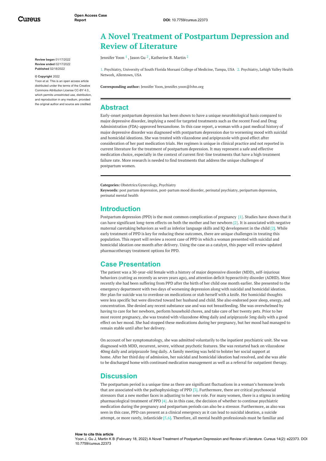Cureus

**Review began** 01/17/2022 **Review ended** 02/17/2022 **Published** 02/18/2022

#### **© Copyright** 2022

Yoon et al. This is an open access article distributed under the terms of the Creative Commons Attribution License CC-BY 4.0., which permits unrestricted use, distribution, and reproduction in any medium, provided the original author and source are credited.

## **A Novel Treatment of Postpartum Depression and Review of Literature**

Jennifer Yoon  $^1$  , Jason Gu  $^2$  , Katherine B. Martin  $^2$ 

1. Psychiatry, University of South Florida Morsani College of Medicine, Tampa, USA 2. Psychiatry, Lehigh Valley Health Network, Allentown, USA

**Corresponding author:** Jennifer Yoon, jennifer.yoon@lvhn.org

## **Abstract**

Early-onset postpartum depression has been shown to have a unique neurobiological basis compared to major depressive disorder, implying a need for targeted treatments such as the recent Food and Drug Administration (FDA)-approved brexanolone. In this case report, a woman with a past medical history of major depressive disorder was diagnosed with postpartum depression due to worsening mood with suicidal and homicidal ideations. She was treated with vilazodone and aripiprazole with good effect after consideration of her past medication trials. Her regimen is unique in clinical practice and not reported in current literature for the treatment of postpartum depression. It may represent a safe and effective medication choice, especially in the context of current first-line treatments that have a high treatment failure rate. More research is needed to find treatments that address the unique challenges of postpartum women.

**Categories:** Obstetrics/Gynecology, Psychiatry

**Keywords:** post partum depression, post-partum mood disorder, perinatal psychiatry, peripartum depression, perinatal mental health

## **Introduction**

Postpartum depression (PPD) is the most common complication of pregnancy [1]. Studies have shown that it can have significant long-term effects on both the mother and her newborn  $[2]$ . It is associated with negative maternal caretaking behaviors as well as inferior language skills and IQ development in the child [2]. While early treatment of PPD is key for reducing these outcomes, there are unique challenges in treating this population. This report will review a recent case of PPD in which a woman presented with suicidal and homicidal ideation one month after delivery. Using the case as a catalyst, this paper will review updated pharmacotherapy treatment options for PPD.

## **Case Presentation**

The patient was a 30-year-old female with a history of major depressive disorder (MDD), self-injurious behaviors (cutting as recently as seven years ago), and attention deficit hyperactivity disorder (ADHD). More recently she had been suffering from PPD after the birth of her child one month earlier. She presented to the emergency department with two days of worsening depression along with suicidal and homicidal ideation. Her plan for suicide was to overdose on medications or stab herself with a knife. Her homicidal thoughts were less specific but were directed toward her husband and child. She also endorsed poor sleep, energy, and concentration. She denied any recent substance use and was not breastfeeding. She was overwhelmed by having to care for her newborn, perform household chores, and take care of her twenty pets. Prior to her most recent pregnancy, she was treated with vilazodone 40mg daily and aripiprazole 5mg daily with a good effect on her mood. She had stopped these medications during her pregnancy, but her mood had managed to remain stable until after her delivery.

On account of her symptomatology, she was admitted voluntarily to the inpatient psychiatric unit. She was diagnosed with MDD, recurrent, severe, without psychotic features. She was restarted back on vilazodone 40mg daily and aripiprazole 5mg daily. A family meeting was held to bolster her social support at home. After her third day of admission, her suicidal and homicidal ideation had resolved, and she was able to be discharged home with continued medication management as well as a referral for outpatient therapy.

## **Discussion**

The postpartum period is a unique time as there are significant fluctuations in a woman's hormone levels that are associated with the pathophysiology of PPD [3]. Furthermore, there are critical psychosocial stressors that a new mother faces in adjusting to her new role. For many women, there is a stigma in seeking pharmacological treatment of PPD [4]. As in this case, the decision of whether to continue psychiatric medication during the pregnancy and postpartum periods can also be a stressor. Furthermore, as also was seen in this case, PPD can present as a clinical emergency as it can lead to suicidal ideation, a suicide attempt, or more rarely, infanticide [5,6]. Therefore, all mental health professionals must be familiar and

#### **How to cite this article** Yoon J, Gu J, Martin K B (February 18, 2022) A Novel Treatment of Postpartum Depression and Review of Literature. Cureus 14(2): e22373. DOI 10.7759/cureus.22373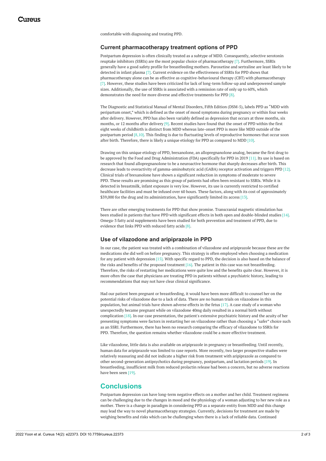comfortable with diagnosing and treating PPD.

#### **Current pharmacotherapy treatment options of PPD**

Postpartum depression is often clinically treated as a subtype of MDD. Consequently, selective serotonin reuptake inhibitors (SSRIs) are the most popular choice of pharmacotherapy [7]. Furthermore, SSRIs generally have a good safety profile for breastfeeding mothers. Paroxetine and sertraline are least likely to be detected in infant plasma [7]. Current evidence on the effectiveness of SSRIs for PPD shows that pharmacotherapy alone can be as effective as cognitive-behavioural therapy (CBT) with pharmacotherapy [7]. However, these studies have been criticized for lack of long-term follow-up and underpowered sample sizes. Additionally, the use of SSRIs is associated with a remission rate of only up to 60%, which demonstrates the need for more diverse and effective treatments for PPD [8].

The Diagnostic and Statistical Manual of Mental Disorders, Fifth Edition (DSM-5), labels PPD as "MDD with peripartum onset," which is defined as the onset of mood symptoms during pregnancy or within four weeks after delivery. However, PPD has also been variably defined as depression that occurs at three months, six months, or 12 months after delivery [9]. Recent studies have found that the onset of PPD within the first eight weeks of childbirth is distinct from MDD whereas late-onset PPD is more like MDD outside of the postpartum period [8,10]. This finding is due to fluctuating levels of reproductive hormones that occur soon after birth. Therefore, there is likely a unique etiology for PPD as compared to MDD [10].

Drawing on this unique etiology of PPD, brexanolone, an allopregnanolone analog, became the first drug to be approved by the Food and Drug Administration (FDA) specifically for PPD in 2019 [11]. Its use is based on research that found allopregnanolone to be a neuroactive hormone that sharply decreases after birth. This decrease leads to overactivity of gamma-aminobutyric acid (GABA) receptor activation and triggers PPD [12]. Clinical trials of brexanolone have shown a significant reduction in symptoms of moderate to severe PPD. These results are promising as this group of patients had often been resistant to SSRIs. While it is detected in breastmilk, infant exposure is very low. However, its use is currently restricted to certified healthcare facilities and must be infused over 60 hours. These factors, along with its cost of approximately \$39,000 for the drug and its administration, have significantly limited its access [13].

There are other emerging treatments for PPD that show promise. Transcranial magnetic stimulation has been studied in patients that have PPD with significant effects in both open and double-blinded studies [14]. Omega-3 fatty acid supplements have been studied for both prevention and treatment of PPD, due to evidence that links PPD with reduced fatty acids [8].

#### **Use of vilazodone and aripiprazole in PPD**

In our case, the patient was treated with a combination of vilazodone and aripiprazole because these are the medications she did well on before pregnancy. This strategy is often employed when choosing a medication for any patient with depression [15]. With specific regard to PPD, the decision is also based on the balance of the risks and benefits of the proposed treatment [16]. The patient in this case was not breastfeeding. Therefore, the risks of restarting her medications were quite low and the benefits quite clear. However, it is more often the case that physicians are treating PPD in patients without a psychiatric history, leading to recommendations that may not have clear clinical significance.

Had our patient been pregnant or breastfeeding, it would have been more difficult to counsel her on the potential risks of vilazodone due to a lack of data. There are no human trials on vilazodone in this population, but animal trials have shown adverse effects in the fetus [17]. A case study of a woman who unexpectedly became pregnant while on vilazodone 40mg daily resulted in a normal birth without complication [18]. In our case presentation, the patient's extensive psychiatric history and the acuity of her presenting symptoms were factors in restarting her on vilazodone rather than choosing a "safer" choice such as an SSRI. Furthermore, there has been no research comparing the efficacy of vilazodone to SSRIs for PPD. Therefore, the question remains whether vilazodone could be a more effective treatment.

Like vilazodone, little data is also available on aripiprazole in pregnancy or breastfeeding. Until recently, human data for aripiprazole was limited to case reports. More recently, two larger prospective studies were relatively reassuring and did not indicate a higher risk from treatment with aripiprazole as compared to other second-generation antipsychotics during pregnancy, postpartum, and lactation periods [19]. In breastfeeding, insufficient milk from reduced prolactin release had been a concern, but no adverse reactions have been seen [19].

## **Conclusions**

Postpartum depression can have long-term negative effects on a mother and her child. Treatment regimens can be challenging due to the changes in mood and the physiology of a woman adjusting to her new role as a mother. There is a change in paradigm in considering PPD as a separate entity from MDD and this change may lead the way to novel pharmacotherapy strategies. Currently, decisions for treatment are made by weighing benefits and risks which can be challenging when there is a lack of reliable data. Continued